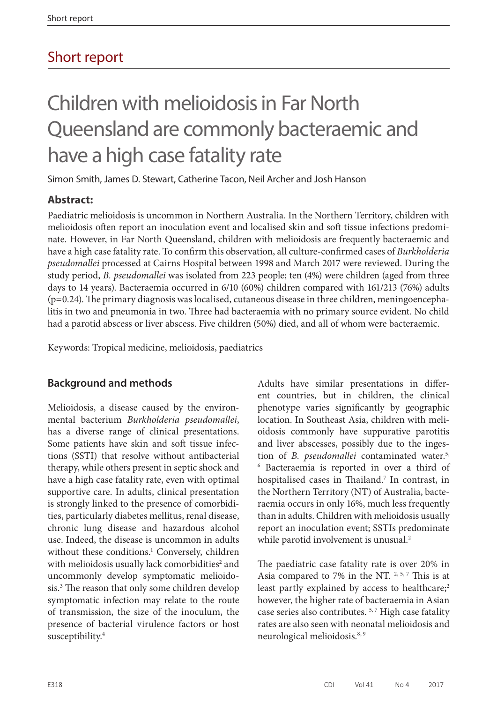# Short report

# Children with melioidosis in Far North Queensland are commonly bacteraemic and have a high case fatality rate

Simon Smith, James D. Stewart, Catherine Tacon, Neil Archer and Josh Hanson

# **Abstract:**

Paediatric melioidosis is uncommon in Northern Australia. In the Northern Territory, children with melioidosis often report an inoculation event and localised skin and soft tissue infections predominate. However, in Far North Queensland, children with melioidosis are frequently bacteraemic and have a high case fatality rate. To confirm this observation, all culture-confirmed cases of *Burkholderia pseudomallei* processed at Cairns Hospital between 1998 and March 2017 were reviewed. During the study period, *B. pseudomallei* was isolated from 223 people; ten (4%) were children (aged from three days to 14 years). Bacteraemia occurred in 6/10 (60%) children compared with 161/213 (76%) adults (p=0.24). The primary diagnosis was localised, cutaneous disease in three children, meningoencephalitis in two and pneumonia in two. Three had bacteraemia with no primary source evident. No child had a parotid abscess or liver abscess. Five children (50%) died, and all of whom were bacteraemic.

Keywords: Tropical medicine, melioidosis, paediatrics

# **Background and methods**

Melioidosis, a disease caused by the environmental bacterium *Burkholderia pseudomallei*, has a diverse range of clinical presentations. Some patients have skin and soft tissue infections (SSTI) that resolve without antibacterial therapy, while others present in septic shock and have a high case fatality rate, even with optimal supportive care. In adults, clinical presentation is strongly linked to the presence of comorbidities, particularly diabetes mellitus, renal disease, chronic lung disease and hazardous alcohol use. Indeed, the disease is uncommon in adults without these conditions.<sup>1</sup> Conversely, children with melioidosis usually lack comorbidities<sup>2</sup> and uncommonly develop symptomatic melioidosis.3 The reason that only some children develop symptomatic infection may relate to the route of transmission, the size of the inoculum, the presence of bacterial virulence factors or host susceptibility.4

Adults have similar presentations in different countries, but in children, the clinical phenotype varies significantly by geographic location. In Southeast Asia, children with melioidosis commonly have suppurative parotitis and liver abscesses, possibly due to the ingestion of *B. pseudomallei* contaminated water.5, <sup>6</sup> Bacteraemia is reported in over a third of hospitalised cases in Thailand.<sup>7</sup> In contrast, in the Northern Territory (NT) of Australia, bacteraemia occurs in only 16%, much less frequently than in adults. Children with melioidosis usually report an inoculation event; SSTIs predominate while parotid involvement is unusual.<sup>2</sup>

The paediatric case fatality rate is over 20% in Asia compared to 7% in the NT.  $2, 5, 7$  This is at least partly explained by access to healthcare;<sup>2</sup> however, the higher rate of bacteraemia in Asian case series also contributes.<sup>5,7</sup> High case fatality rates are also seen with neonatal melioidosis and neurological melioidosis.8, 9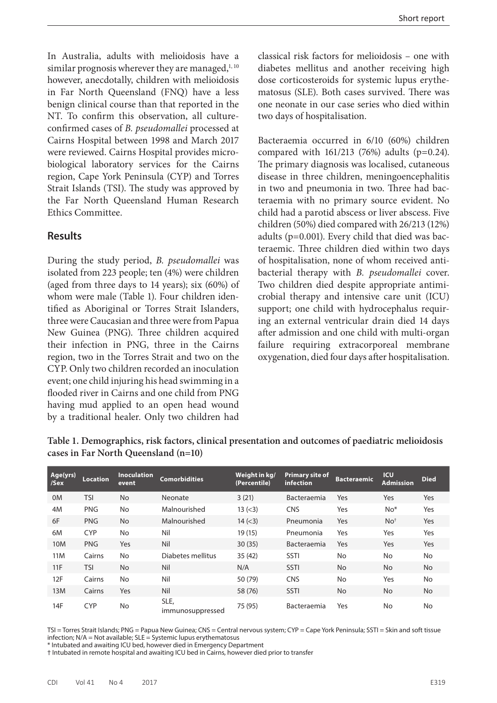In Australia, adults with melioidosis have a similar prognosis wherever they are managed, $1,10$ however, anecdotally, children with melioidosis in Far North Queensland (FNQ) have a less benign clinical course than that reported in the NT. To confirm this observation, all cultureconfirmed cases of *B. pseudomallei* processed at Cairns Hospital between 1998 and March 2017 were reviewed. Cairns Hospital provides microbiological laboratory services for the Cairns region, Cape York Peninsula (CYP) and Torres Strait Islands (TSI). The study was approved by the Far North Queensland Human Research Ethics Committee.

#### **Results**

During the study period, *B. pseudomallei* was isolated from 223 people; ten (4%) were children (aged from three days to 14 years); six (60%) of whom were male (Table 1). Four children identified as Aboriginal or Torres Strait Islanders, three were Caucasian and three were from Papua New Guinea (PNG). Three children acquired their infection in PNG, three in the Cairns region, two in the Torres Strait and two on the CYP. Only two children recorded an inoculation event; one child injuring his head swimming in a flooded river in Cairns and one child from PNG having mud applied to an open head wound by a traditional healer. Only two children had classical risk factors for melioidosis – one with diabetes mellitus and another receiving high dose corticosteroids for systemic lupus erythematosus (SLE). Both cases survived. There was one neonate in our case series who died within two days of hospitalisation.

Bacteraemia occurred in 6/10 (60%) children compared with  $161/213$  (76%) adults (p=0.24). The primary diagnosis was localised, cutaneous disease in three children, meningoencephalitis in two and pneumonia in two. Three had bacteraemia with no primary source evident. No child had a parotid abscess or liver abscess. Five children (50%) died compared with 26/213 (12%) adults (p=0.001). Every child that died was bacteraemic. Three children died within two days of hospitalisation, none of whom received antibacterial therapy with *B. pseudomallei* cover. Two children died despite appropriate antimicrobial therapy and intensive care unit (ICU) support; one child with hydrocephalus requiring an external ventricular drain died 14 days after admission and one child with multi-organ failure requiring extracorporeal membrane oxygenation, died four days after hospitalisation.

| Age(yrs)<br>/Sex | <b>Location</b> | <b>Inoculation</b><br>event | <b>Comorbidities</b>     | Weight in kg/<br>(Percentile) | <b>Primary site of</b><br><b>infection</b> | <b>Bacteraemic</b> | <b>ICU</b><br><b>Admission</b> | <b>Died</b> |
|------------------|-----------------|-----------------------------|--------------------------|-------------------------------|--------------------------------------------|--------------------|--------------------------------|-------------|
| 0 <sub>M</sub>   | <b>TSI</b>      | <b>No</b>                   | Neonate                  | 3(21)                         | Bacteraemia                                | Yes                | Yes                            | <b>Yes</b>  |
| 4M               | <b>PNG</b>      | No                          | Malnourished             | 13 (< 3)                      | <b>CNS</b>                                 | Yes                | $No*$                          | Yes         |
| 6F               | <b>PNG</b>      | <b>No</b>                   | Malnourished             | 14 (< 3)                      | Pneumonia                                  | Yes                | No <sup>†</sup>                | <b>Yes</b>  |
| 6M               | <b>CYP</b>      | No                          | Nil                      | 19 (15)                       | Pneumonia                                  | Yes                | Yes                            | Yes         |
| 10M              | <b>PNG</b>      | Yes                         | Nil                      | 30(35)                        | <b>Bacteraemia</b>                         | Yes                | Yes                            | <b>Yes</b>  |
| 11M              | Cairns          | No                          | Diabetes mellitus        | 35(42)                        | <b>SSTI</b>                                | <b>No</b>          | <b>No</b>                      | <b>No</b>   |
| 11F              | <b>TSI</b>      | <b>No</b>                   | Nil                      | N/A                           | <b>SSTI</b>                                | <b>No</b>          | <b>No</b>                      | <b>No</b>   |
| 12F              | Cairns          | No                          | Nil                      | 50 (79)                       | <b>CNS</b>                                 | No                 | Yes                            | No          |
| 13M              | Cairns          | Yes                         | Nil                      | 58 (76)                       | <b>SSTI</b>                                | No                 | <b>No</b>                      | <b>No</b>   |
| 14F              | <b>CYP</b>      | No                          | SLE,<br>immunosuppressed | 75 (95)                       | Bacteraemia                                | Yes                | No                             | No          |

**Table 1. Demographics, risk factors, clinical presentation and outcomes of paediatric melioidosis cases in Far North Queensland (n=10)**

TSI = Torres Strait Islands; PNG = Papua New Guinea; CNS = Central nervous system; CYP = Cape York Peninsula; SSTI = Skin and soft tissue infection;  $N/A = Not available$ ;  $SLE = Systemic$  lupus erythematosus

\* Intubated and awaiting ICU bed, however died in Emergency Department † Intubated in remote hospital and awaiting ICU bed in Cairns, however died prior to transfer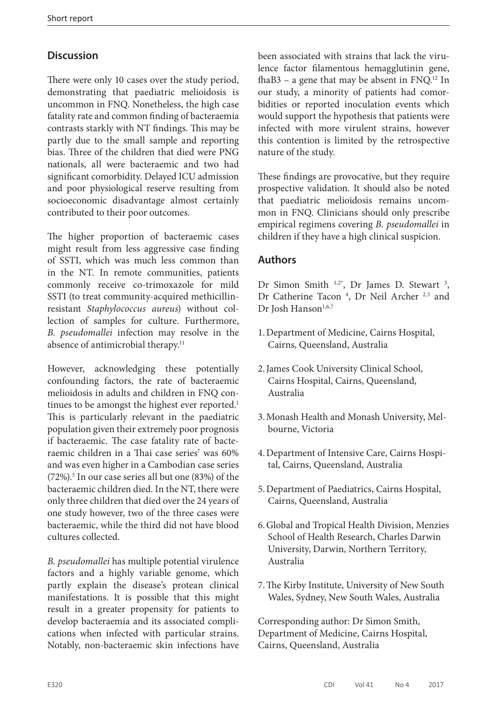# **Discussion**

There were only 10 cases over the study period, demonstrating that paediatric melioidosis is uncommon in FNQ. Nonetheless, the high case fatality rate and common finding of bacteraemia contrasts starkly with NT findings. This may be partly due to the small sample and reporting bias. Three of the children that died were PNG nationals, all were bacteraemic and two had significant comorbidity. Delayed ICU admission and poor physiological reserve resulting from socioeconomic disadvantage almost certainly contributed to their poor outcomes.

The higher proportion of bacteraemic cases might result from less aggressive case finding of SSTI, which was much less common than in the NT. In remote communities, patients commonly receive co-trimoxazole for mild SSTI (to treat community-acquired methicillinresistant *Staphylococcus aureus*) without collection of samples for culture. Furthermore, *B. pseudomallei* infection may resolve in the absence of antimicrobial therapy.<sup>11</sup>

However, acknowledging these potentially confounding factors, the rate of bacteraemic melioidosis in adults and children in FNQ continues to be amongst the highest ever reported.<sup>1</sup> This is particularly relevant in the paediatric population given their extremely poor prognosis if bacteraemic. The case fatality rate of bacteraemic children in a Thai case series<sup>7</sup> was 60% and was even higher in a Cambodian case series  $(72\%)$ .<sup>5</sup> In our case series all but one  $(83\%)$  of the bacteraemic children died. In the NT, there were only three children that died over the 24 years of one study however, two of the three cases were bacteraemic, while the third did not have blood cultures collected.

*B. pseudomallei* has multiple potential virulence factors and a highly variable genome, which partly explain the disease's protean clinical manifestations. It is possible that this might result in a greater propensity for patients to develop bacteraemia and its associated complications when infected with particular strains. Notably, non-bacteraemic skin infections have

been associated with strains that lack the virulence factor filamentous hemagglutinin gene, fhaB3 – a gene that may be absent in  $FNQ$ .<sup>12</sup> In our study, a minority of patients had comorbidities or reported inoculation events which would support the hypothesis that patients were infected with more virulent strains, however this contention is limited by the retrospective nature of the study.

These findings are provocative, but they require prospective validation. It should also be noted that paediatric melioidosis remains uncommon in FNQ. Clinicians should only prescribe empirical regimens covering *B. pseudomallei* in children if they have a high clinical suspicion.

### **Authors**

Dr Simon Smith  $1.2^*$ , Dr James D. Stewart  $3$ , Dr Catherine Tacon<sup>4</sup>, Dr Neil Archer<sup>2,5</sup> and Dr Josh Hanson<sup>1,6,7</sup>

- 1.Department of Medicine, Cairns Hospital, Cairns, Queensland, Australia
- 2.James Cook University Clinical School, Cairns Hospital, Cairns, Queensland, Australia
- 3.Monash Health and Monash University, Melbourne, Victoria
- 4.Department of Intensive Care, Cairns Hospital, Cairns, Queensland, Australia
- 5.Department of Paediatrics, Cairns Hospital, Cairns, Queensland, Australia
- 6.Global and Tropical Health Division, Menzies School of Health Research, Charles Darwin University, Darwin, Northern Territory, Australia
- 7.The Kirby Institute, University of New South Wales, Sydney, New South Wales, Australia

Corresponding author: Dr Simon Smith, Department of Medicine, Cairns Hospital, Cairns, Queensland, Australia